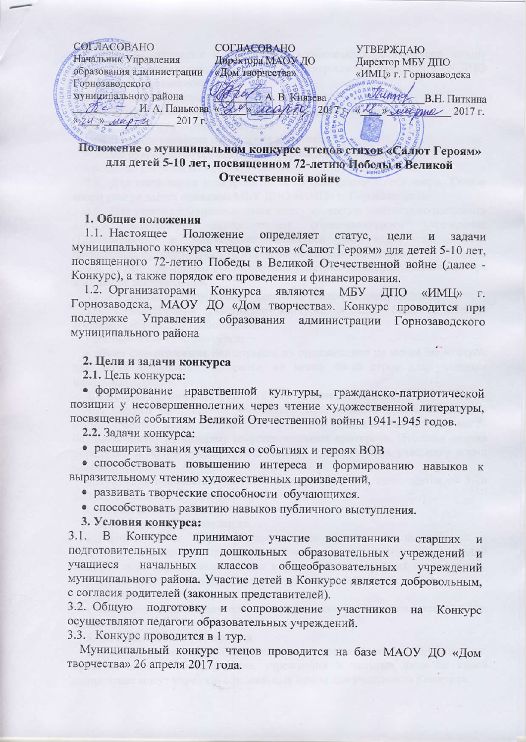

# Положение о муниципальном конкурсе чтецев стихов «Салют Героям» для детей 5-10 лет, посвященном 72-летию Победы в Великой Отечественной войне

## 1. Общие положения

1.1. Настоящее Положение определяет статус, цели задачи И муниципального конкурса чтецов стихов «Салют Героям» для детей 5-10 лет, посвященного 72-летию Победы в Великой Отечественной войне (далее -Конкурс), а также порядок его проведения и финансирования.

1.2. Организаторами Конкурса являются МБУ ДПО «ИМЦ»  $\Gamma$ . Горнозаводска, МАОУ ДО «Дом творчества». Конкурс проводится при поддержке Управления образования администрации Горнозаводского муниципального района

#### 2. Цели и задачи конкурса

2.1. Цель конкурса:

• формирование нравственной культуры, гражданско-патриотической позиции у несовершеннолетних через чтение художественной литературы, посвященной событиям Великой Отечественной войны 1941-1945 годов.

2.2. Задачи конкурса:

• расширить знания учащихся о событиях и героях ВОВ

• способствовать повышению интереса и формированию навыков к выразительному чтению художественных произведений,

• развивать творческие способности обучающихся.

• способствовать развитию навыков публичного выступления.

3. Условия конкурса:

 $3.1.$ B Конкурсе принимают участие воспитанники старших И подготовительных групп дошкольных образовательных учреждений и классов общеобразовательных учащиеся начальных учреждений муниципального района. Участие детей в Конкурсе является добровольным, с согласия родителей (законных представителей).

3.2. Общую подготовку и сопровождение участников на Конкурс осуществляют педагоги образовательных учреждений.

3.3. Конкурс проводится в 1 тур.

Муниципальный конкурс чтецов проводится на базе МАОУ ДО «Дом творчества» 26 апреля 2017 года.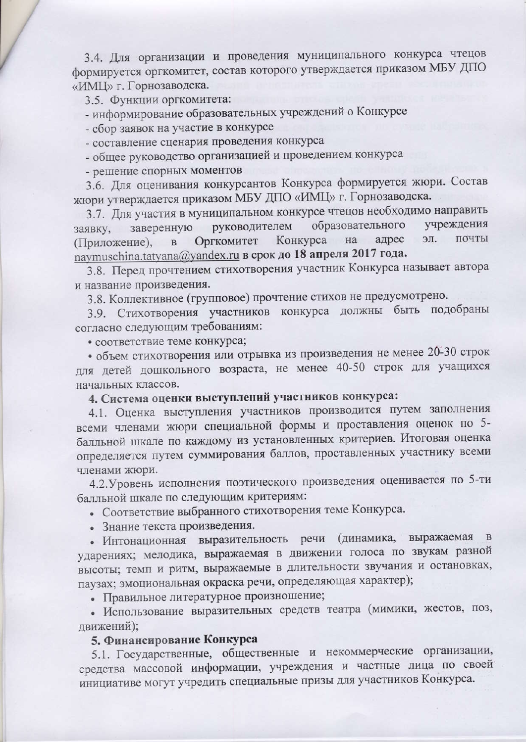3.4. Для организации и проведения муниципального конкурса чтецов формируется оргкомитет, состав которого утверждается приказом МБУ ДПО «ИМЦ» г. Горнозаводска.

3.5. Функции оргкомитета:

- информирование образовательных учреждений о Конкурсе

- сбор заявок на участие в конкурсе

- составление сценария проведения конкурса

- общее руководство организацией и проведением конкурса

- решение спорных моментов

3.6. Для оценивания конкурсантов Конкурса формируется жюри. Состав жюри утверждается приказом МБУ ДПО «ИМЦ» г. Горнозаводска.

3.7. Для участия в муниципальном конкурсе чтецов необходимо направить образовательного учреждения руководителем заверенную заявку, почты адрес ЭЛ. Оргкомитет Конкурса на (Приложение),  $\overline{B}$ naymuschina.tatyana@yandex.ru в срок до 18 апреля 2017 года.

3.8. Перед прочтением стихотворения участник Конкурса называет автора и название произведения.

3.8. Коллективное (групповое) прочтение стихов не предусмотрено.

3.9. Стихотворения участников конкурса должны быть подобраны согласно следующим требованиям:

• соответствие теме конкурса;

• объем стихотворения или отрывка из произведения не менее 20-30 строк для детей дошкольного возраста, не менее 40-50 строк для учащихся начальных классов.

4. Система оценки выступлений участников конкурса:

4.1. Оценка выступления участников производится путем заполнения всеми членами жюри специальной формы и проставления оценок по 5балльной шкале по каждому из установленных критериев. Итоговая оценка определяется путем суммирования баллов, проставленных участнику всеми членами жюри.

4.2. Уровень исполнения поэтического произведения оценивается по 5-ти балльной шкале по следующим критериям:

• Соответствие выбранного стихотворения теме Конкурса.

• Знание текста произведения.

(динамика, выражаемая • Интонационная выразительность речи ударениях; мелодика, выражаемая в движении голоса по звукам разной высоты; темп и ритм, выражаемые в длительности звучания и остановках, паузах; эмоциональная окраска речи, определяющая характер);

• Правильное литературное произношение;

• Использование выразительных средств театра (мимики, жестов, поз, движений);

#### 5. Финансирование Конкурса

5.1. Государственные, общественные и некоммерческие организации, средства массовой информации, учреждения и частные лица по своей инициативе могут учредить специальные призы для участников Конкурса.